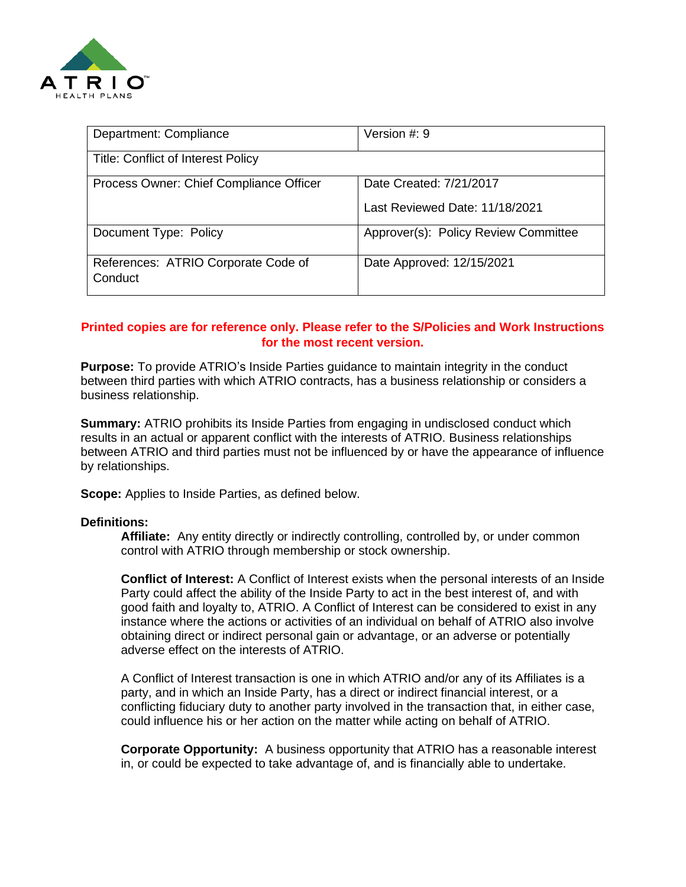

| Department: Compliance                         | Version $#: 9$                                            |
|------------------------------------------------|-----------------------------------------------------------|
| <b>Title: Conflict of Interest Policy</b>      |                                                           |
| Process Owner: Chief Compliance Officer        | Date Created: 7/21/2017<br>Last Reviewed Date: 11/18/2021 |
| Document Type: Policy                          | Approver(s): Policy Review Committee                      |
| References: ATRIO Corporate Code of<br>Conduct | Date Approved: 12/15/2021                                 |

## **Printed copies are for reference only. Please refer to the S/Policies and Work Instructions for the most recent version.**

**Purpose:** To provide ATRIO's Inside Parties guidance to maintain integrity in the conduct between third parties with which ATRIO contracts, has a business relationship or considers a business relationship.

**Summary:** ATRIO prohibits its Inside Parties from engaging in undisclosed conduct which results in an actual or apparent conflict with the interests of ATRIO. Business relationships between ATRIO and third parties must not be influenced by or have the appearance of influence by relationships.

**Scope:** Applies to Inside Parties, as defined below.

#### **Definitions:**

**Affiliate:** Any entity directly or indirectly controlling, controlled by, or under common control with ATRIO through membership or stock ownership.

**Conflict of Interest:** A Conflict of Interest exists when the personal interests of an Inside Party could affect the ability of the Inside Party to act in the best interest of, and with good faith and loyalty to, ATRIO. A Conflict of Interest can be considered to exist in any instance where the actions or activities of an individual on behalf of ATRIO also involve obtaining direct or indirect personal gain or advantage, or an adverse or potentially adverse effect on the interests of ATRIO.

A Conflict of Interest transaction is one in which ATRIO and/or any of its Affiliates is a party, and in which an Inside Party, has a direct or indirect financial interest, or a conflicting fiduciary duty to another party involved in the transaction that, in either case, could influence his or her action on the matter while acting on behalf of ATRIO.

**Corporate Opportunity:** A business opportunity that ATRIO has a reasonable interest in, or could be expected to take advantage of, and is financially able to undertake.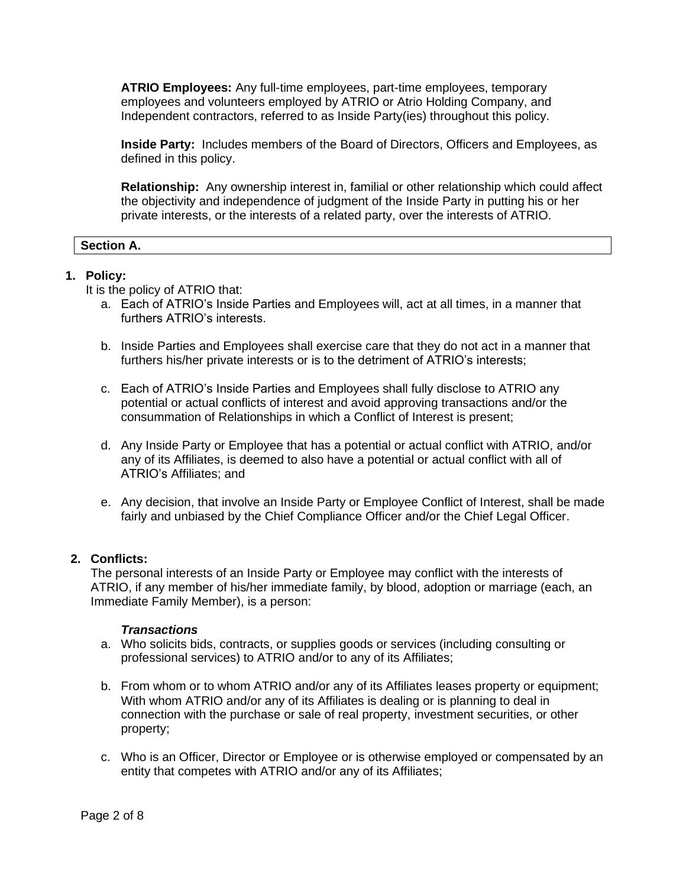**ATRIO Employees:** Any full-time employees, part-time employees, temporary employees and volunteers employed by ATRIO or Atrio Holding Company, and Independent contractors, referred to as Inside Party(ies) throughout this policy.

**Inside Party:** Includes members of the Board of Directors, Officers and Employees, as defined in this policy.

**Relationship:** Any ownership interest in, familial or other relationship which could affect the objectivity and independence of judgment of the Inside Party in putting his or her private interests, or the interests of a related party, over the interests of ATRIO.

# **Section A.**

## **1. Policy:**

It is the policy of ATRIO that:

- a. Each of ATRIO's Inside Parties and Employees will, act at all times, in a manner that furthers ATRIO's interests.
- b. Inside Parties and Employees shall exercise care that they do not act in a manner that furthers his/her private interests or is to the detriment of ATRIO's interests;
- c. Each of ATRIO's Inside Parties and Employees shall fully disclose to ATRIO any potential or actual conflicts of interest and avoid approving transactions and/or the consummation of Relationships in which a Conflict of Interest is present;
- d. Any Inside Party or Employee that has a potential or actual conflict with ATRIO, and/or any of its Affiliates, is deemed to also have a potential or actual conflict with all of ATRIO's Affiliates; and
- e. Any decision, that involve an Inside Party or Employee Conflict of Interest, shall be made fairly and unbiased by the Chief Compliance Officer and/or the Chief Legal Officer.

## **2. Conflicts:**

The personal interests of an Inside Party or Employee may conflict with the interests of ATRIO, if any member of his/her immediate family, by blood, adoption or marriage (each, an Immediate Family Member), is a person:

## *Transactions*

- a. Who solicits bids, contracts, or supplies goods or services (including consulting or professional services) to ATRIO and/or to any of its Affiliates;
- b. From whom or to whom ATRIO and/or any of its Affiliates leases property or equipment; With whom ATRIO and/or any of its Affiliates is dealing or is planning to deal in connection with the purchase or sale of real property, investment securities, or other property;
- c. Who is an Officer, Director or Employee or is otherwise employed or compensated by an entity that competes with ATRIO and/or any of its Affiliates;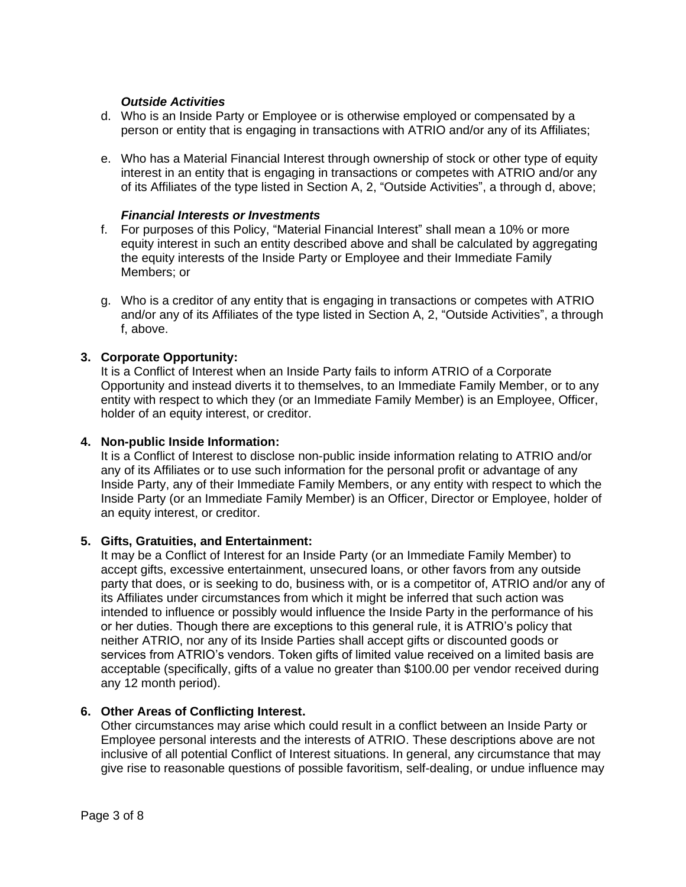## *Outside Activities*

- d. Who is an Inside Party or Employee or is otherwise employed or compensated by a person or entity that is engaging in transactions with ATRIO and/or any of its Affiliates;
- e. Who has a Material Financial Interest through ownership of stock or other type of equity interest in an entity that is engaging in transactions or competes with ATRIO and/or any of its Affiliates of the type listed in Section A, 2, "Outside Activities", a through d, above;

#### *Financial Interests or Investments*

- f. For purposes of this Policy, "Material Financial Interest" shall mean a 10% or more equity interest in such an entity described above and shall be calculated by aggregating the equity interests of the Inside Party or Employee and their Immediate Family Members; or
- g. Who is a creditor of any entity that is engaging in transactions or competes with ATRIO and/or any of its Affiliates of the type listed in Section A, 2, "Outside Activities", a through f, above.

## **3. Corporate Opportunity:**

It is a Conflict of Interest when an Inside Party fails to inform ATRIO of a Corporate Opportunity and instead diverts it to themselves, to an Immediate Family Member, or to any entity with respect to which they (or an Immediate Family Member) is an Employee, Officer, holder of an equity interest, or creditor.

#### **4. Non-public Inside Information:**

It is a Conflict of Interest to disclose non-public inside information relating to ATRIO and/or any of its Affiliates or to use such information for the personal profit or advantage of any Inside Party, any of their Immediate Family Members, or any entity with respect to which the Inside Party (or an Immediate Family Member) is an Officer, Director or Employee, holder of an equity interest, or creditor.

#### **5. Gifts, Gratuities, and Entertainment:**

It may be a Conflict of Interest for an Inside Party (or an Immediate Family Member) to accept gifts, excessive entertainment, unsecured loans, or other favors from any outside party that does, or is seeking to do, business with, or is a competitor of, ATRIO and/or any of its Affiliates under circumstances from which it might be inferred that such action was intended to influence or possibly would influence the Inside Party in the performance of his or her duties. Though there are exceptions to this general rule, it is ATRIO's policy that neither ATRIO, nor any of its Inside Parties shall accept gifts or discounted goods or services from ATRIO's vendors. Token gifts of limited value received on a limited basis are acceptable (specifically, gifts of a value no greater than \$100.00 per vendor received during any 12 month period).

## **6. Other Areas of Conflicting Interest.**

Other circumstances may arise which could result in a conflict between an Inside Party or Employee personal interests and the interests of ATRIO. These descriptions above are not inclusive of all potential Conflict of Interest situations. In general, any circumstance that may give rise to reasonable questions of possible favoritism, self-dealing, or undue influence may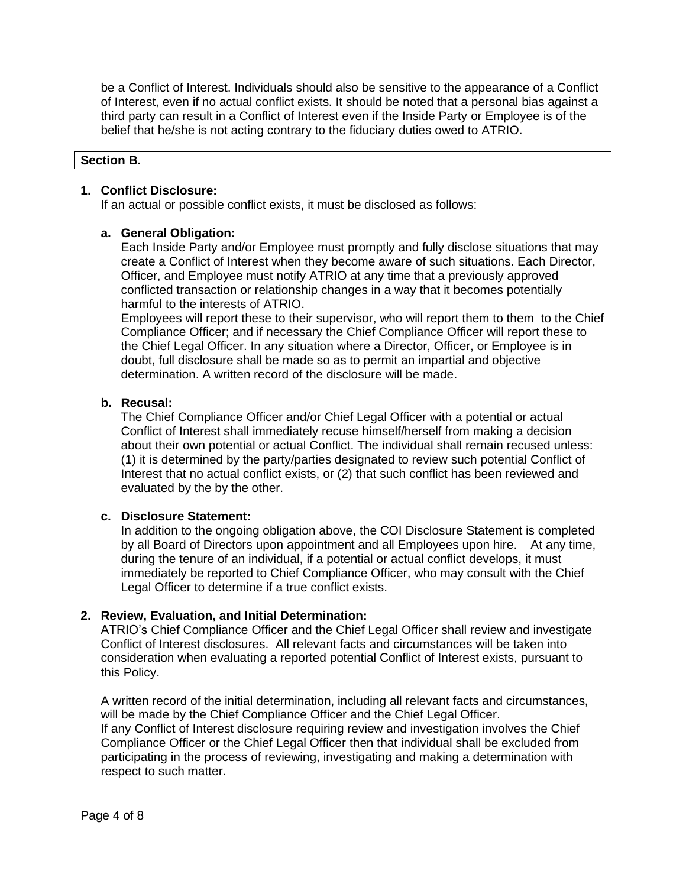be a Conflict of Interest. Individuals should also be sensitive to the appearance of a Conflict of Interest, even if no actual conflict exists. It should be noted that a personal bias against a third party can result in a Conflict of Interest even if the Inside Party or Employee is of the belief that he/she is not acting contrary to the fiduciary duties owed to ATRIO.

#### **Section B.**

#### **1. Conflict Disclosure:**

If an actual or possible conflict exists, it must be disclosed as follows:

### **a. General Obligation:**

Each Inside Party and/or Employee must promptly and fully disclose situations that may create a Conflict of Interest when they become aware of such situations. Each Director, Officer, and Employee must notify ATRIO at any time that a previously approved conflicted transaction or relationship changes in a way that it becomes potentially harmful to the interests of ATRIO.

Employees will report these to their supervisor, who will report them to them to the Chief Compliance Officer; and if necessary the Chief Compliance Officer will report these to the Chief Legal Officer. In any situation where a Director, Officer, or Employee is in doubt, full disclosure shall be made so as to permit an impartial and objective determination. A written record of the disclosure will be made.

### **b. Recusal:**

The Chief Compliance Officer and/or Chief Legal Officer with a potential or actual Conflict of Interest shall immediately recuse himself/herself from making a decision about their own potential or actual Conflict. The individual shall remain recused unless: (1) it is determined by the party/parties designated to review such potential Conflict of Interest that no actual conflict exists, or (2) that such conflict has been reviewed and evaluated by the by the other.

#### **c. Disclosure Statement:**

In addition to the ongoing obligation above, the COI Disclosure Statement is completed by all Board of Directors upon appointment and all Employees upon hire. At any time, during the tenure of an individual, if a potential or actual conflict develops, it must immediately be reported to Chief Compliance Officer, who may consult with the Chief Legal Officer to determine if a true conflict exists.

## **2. Review, Evaluation, and Initial Determination:**

ATRIO's Chief Compliance Officer and the Chief Legal Officer shall review and investigate Conflict of Interest disclosures. All relevant facts and circumstances will be taken into consideration when evaluating a reported potential Conflict of Interest exists, pursuant to this Policy.

A written record of the initial determination, including all relevant facts and circumstances, will be made by the Chief Compliance Officer and the Chief Legal Officer. If any Conflict of Interest disclosure requiring review and investigation involves the Chief Compliance Officer or the Chief Legal Officer then that individual shall be excluded from participating in the process of reviewing, investigating and making a determination with respect to such matter.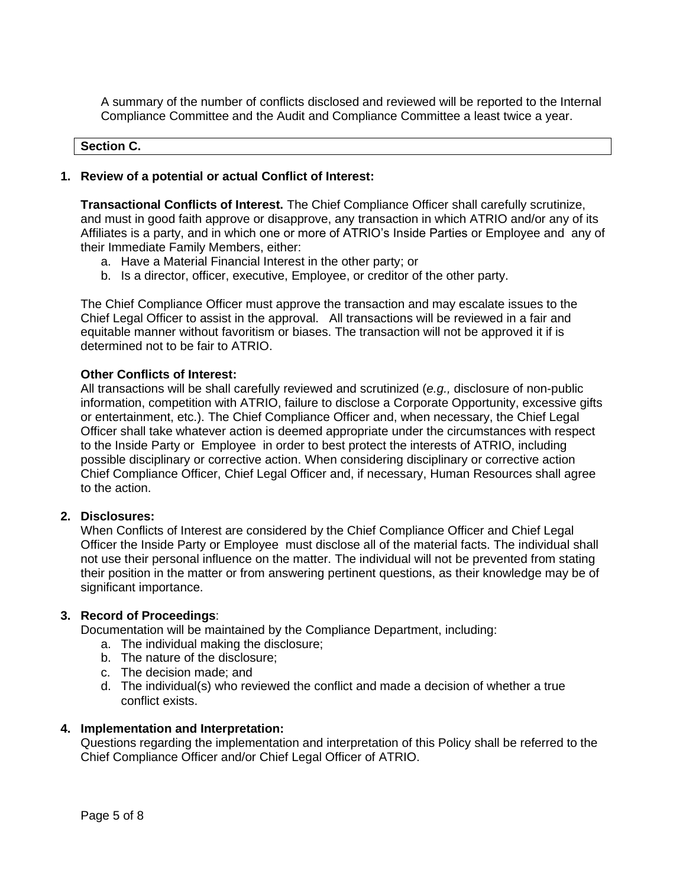A summary of the number of conflicts disclosed and reviewed will be reported to the Internal Compliance Committee and the Audit and Compliance Committee a least twice a year.

#### **Section C.**

### **1. Review of a potential or actual Conflict of Interest:**

**Transactional Conflicts of Interest.** The Chief Compliance Officer shall carefully scrutinize, and must in good faith approve or disapprove, any transaction in which ATRIO and/or any of its Affiliates is a party, and in which one or more of ATRIO's Inside Parties or Employee and any of their Immediate Family Members, either:

- a. Have a Material Financial Interest in the other party; or
- b. Is a director, officer, executive, Employee, or creditor of the other party.

The Chief Compliance Officer must approve the transaction and may escalate issues to the Chief Legal Officer to assist in the approval. All transactions will be reviewed in a fair and equitable manner without favoritism or biases. The transaction will not be approved it if is determined not to be fair to ATRIO.

### **Other Conflicts of Interest:**

All transactions will be shall carefully reviewed and scrutinized (*e.g.,* disclosure of non-public information, competition with ATRIO, failure to disclose a Corporate Opportunity, excessive gifts or entertainment, etc.). The Chief Compliance Officer and, when necessary, the Chief Legal Officer shall take whatever action is deemed appropriate under the circumstances with respect to the Inside Party or Employee in order to best protect the interests of ATRIO, including possible disciplinary or corrective action. When considering disciplinary or corrective action Chief Compliance Officer, Chief Legal Officer and, if necessary, Human Resources shall agree to the action.

## **2. Disclosures:**

When Conflicts of Interest are considered by the Chief Compliance Officer and Chief Legal Officer the Inside Party or Employee must disclose all of the material facts. The individual shall not use their personal influence on the matter. The individual will not be prevented from stating their position in the matter or from answering pertinent questions, as their knowledge may be of significant importance.

#### **3. Record of Proceedings**:

Documentation will be maintained by the Compliance Department, including:

- a. The individual making the disclosure;
- b. The nature of the disclosure;
- c. The decision made; and
- d. The individual(s) who reviewed the conflict and made a decision of whether a true conflict exists.

#### **4. Implementation and Interpretation:**

Questions regarding the implementation and interpretation of this Policy shall be referred to the Chief Compliance Officer and/or Chief Legal Officer of ATRIO.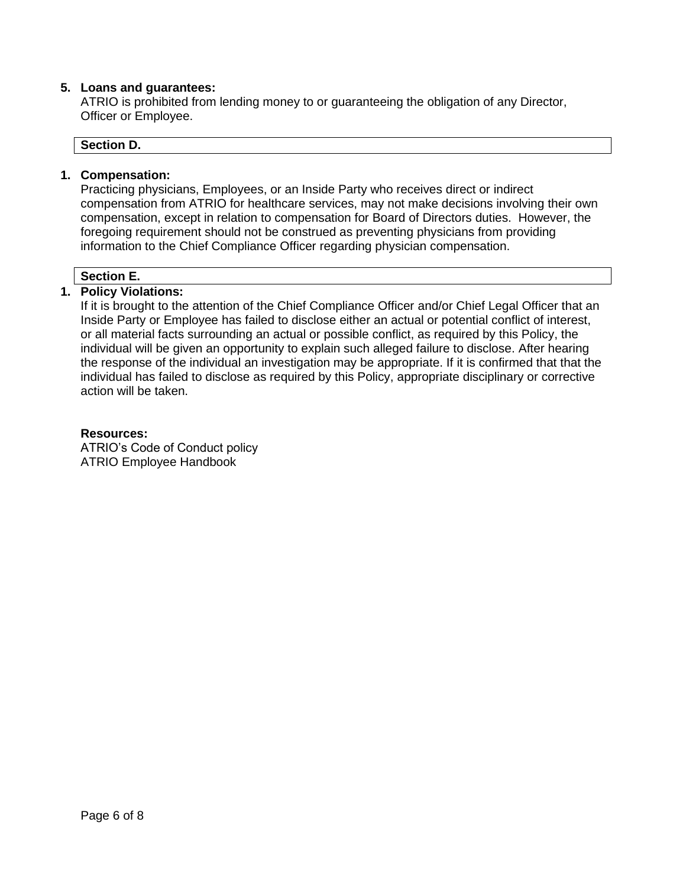## **5. Loans and guarantees:**

ATRIO is prohibited from lending money to or guaranteeing the obligation of any Director, Officer or Employee.

#### **Section D.**

#### **1. Compensation:**

Practicing physicians, Employees, or an Inside Party who receives direct or indirect compensation from ATRIO for healthcare services, may not make decisions involving their own compensation, except in relation to compensation for Board of Directors duties. However, the foregoing requirement should not be construed as preventing physicians from providing information to the Chief Compliance Officer regarding physician compensation.

### **Section E.**

### **1. Policy Violations:**

If it is brought to the attention of the Chief Compliance Officer and/or Chief Legal Officer that an Inside Party or Employee has failed to disclose either an actual or potential conflict of interest, or all material facts surrounding an actual or possible conflict, as required by this Policy, the individual will be given an opportunity to explain such alleged failure to disclose. After hearing the response of the individual an investigation may be appropriate. If it is confirmed that that the individual has failed to disclose as required by this Policy, appropriate disciplinary or corrective action will be taken.

#### **Resources:**

ATRIO's Code of Conduct policy ATRIO Employee Handbook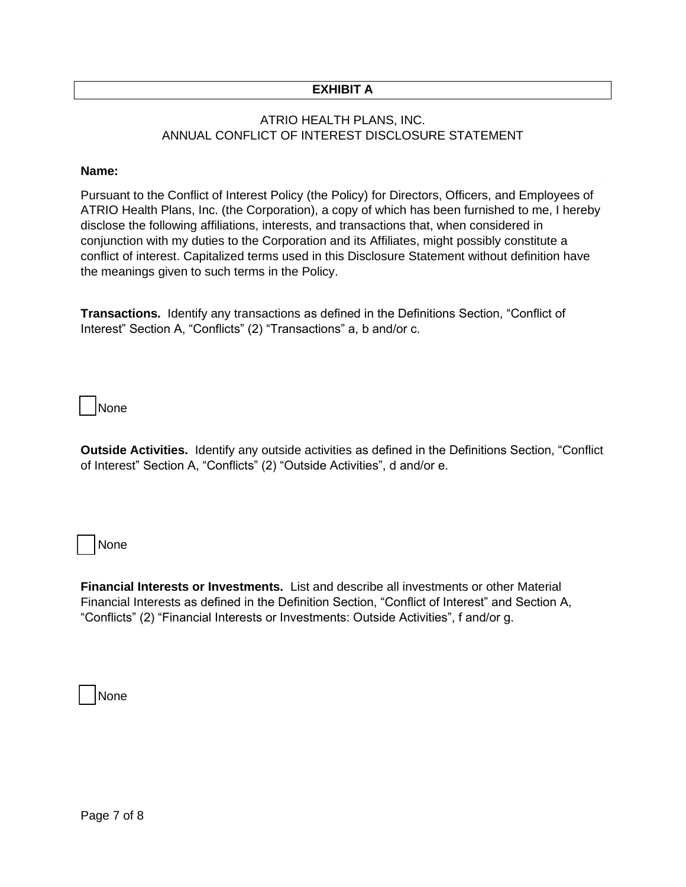## **EXHIBIT A**

## ATRIO HEALTH PLANS, INC. ANNUAL CONFLICT OF INTEREST DISCLOSURE STATEMENT

#### **Name:**  $\blacksquare$

Pursuant to the Conflict of Interest Policy (the Policy) for Directors, Officers, and Employees of ATRIO Health Plans, Inc. (the Corporation), a copy of which has been furnished to me, I hereby disclose the following affiliations, interests, and transactions that, when considered in conjunction with my duties to the Corporation and its Affiliates, might possibly constitute a conflict of interest. Capitalized terms used in this Disclosure Statement without definition have the meanings given to such terms in the Policy.

**Transactions.** Identify any transactions as defined in the Definitions Section, "Conflict of Interest" Section A, "Conflicts" (2) "Transactions" a, b and/or c.

\_\_ None

**Outside Activities.** Identify any outside activities as defined in the Definitions Section, "Conflict of Interest" Section A, "Conflicts" (2) "Outside Activities", d and/or e.

\_\_ None

**Financial Interests or Investments.** List and describe all investments or other Material Financial Interests as defined in the Definition Section, "Conflict of Interest" and Section A, "Conflicts" (2) "Financial Interests or Investments: Outside Activities", f and/or g.

\_\_ None